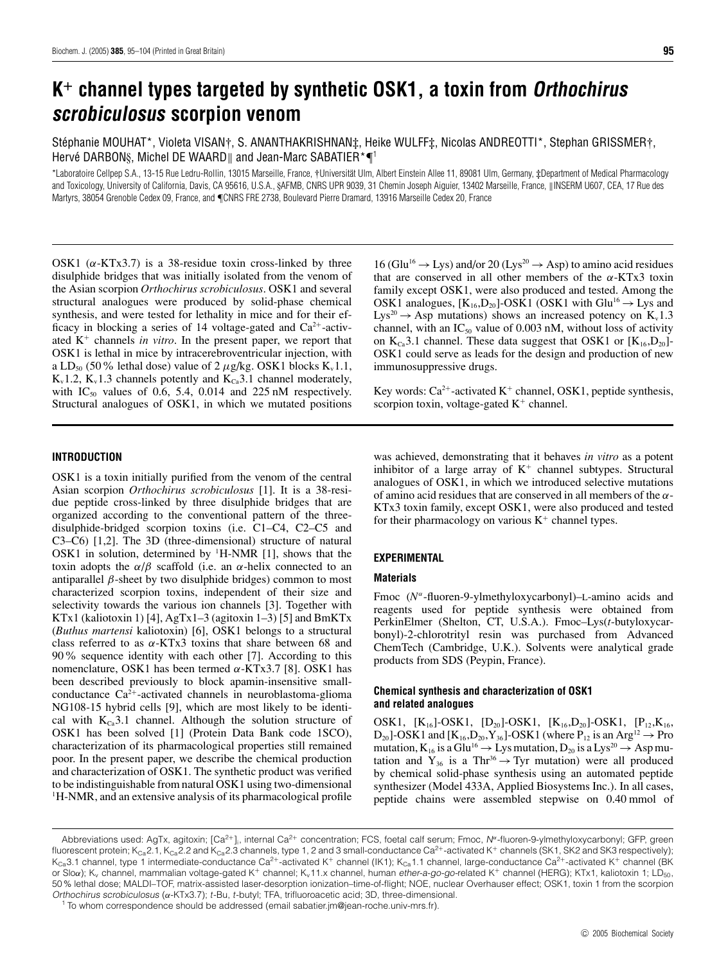# **K<sup>+</sup> channel types targeted by synthetic OSK1, a toxin from Orthochirus scrobiculosus scorpion venom**

Stéphanie MOUHAT\*, Violeta VISAN†, S. ANANTHAKRISHNAN‡, Heike WULFF‡, Nicolas ANDREOTTI\*, Stephan GRISSMER†, Hervé DARBONS, Michel DE WAARD and Jean-Marc SABATIER\* $\P^1$ 

\*Laboratoire Cellpep S.A., 13-15 Rue Ledru-Rollin, 13015 Marseille, France, †Universität Ulm, Albert Einstein Allee 11, 89081 Ulm, Germany, ‡Department of Medical Pharmacology and Toxicology, University of California, Davis, CA 95616, U.S.A., §AFMB, CNRS UPR 9039, 31 Chemin Joseph Aiguier, 13402 Marseille, France, ||INSERM U607, CEA, 17 Rue des Martyrs, 38054 Grenoble Cedex 09, France, and ¶CNRS FRE 2738, Boulevard Pierre Dramard, 13916 Marseille Cedex 20, France

OSK1 ( $\alpha$ -KTx3.7) is a 38-residue toxin cross-linked by three disulphide bridges that was initially isolated from the venom of the Asian scorpion *Orthochirus scrobiculosus*. OSK1 and several structural analogues were produced by solid-phase chemical synthesis, and were tested for lethality in mice and for their efficacy in blocking a series of 14 voltage-gated and  $Ca^{2+}$ -activated K<sup>+</sup> channels *in vitro*. In the present paper, we report that OSK1 is lethal in mice by intracerebroventricular injection, with a LD<sub>50</sub> (50% lethal dose) value of 2  $\mu$ g/kg. OSK1 blocks K<sub>v</sub>1.1,  $K_v$ 1.2,  $K_v$ 1.3 channels potently and  $K_{Ca}$ 3.1 channel moderately, with  $IC_{50}$  values of 0.6, 5.4, 0.014 and 225 nM respectively. Structural analogues of OSK1, in which we mutated positions

 $16$  (Glu<sup>16</sup>  $\rightarrow$  Lys) and/or 20 (Lys<sup>20</sup>  $\rightarrow$  Asp) to amino acid residues that are conserved in all other members of the  $\alpha$ -KTx3 toxin family except OSK1, were also produced and tested. Among the OSK1 analogues,  $[K_{16}, D_{20}]$ -OSK1 (OSK1 with Glu<sup>16</sup>  $\rightarrow$  Lys and  $Lys^{20} \rightarrow Asp$  mutations) shows an increased potency on  $K_v1.3$ channel, with an  $IC_{50}$  value of 0.003 nM, without loss of activity on  $K_{Ca}3.1$  channel. These data suggest that OSK1 or  $[K_{16}, D_{20}]$ -OSK1 could serve as leads for the design and production of new immunosuppressive drugs.

Key words:  $Ca^{2+}$ -activated K<sup>+</sup> channel, OSK1, peptide synthesis, scorpion toxin, voltage-gated  $K^+$  channel.

# **INTRODUCTION**

OSK1 is a toxin initially purified from the venom of the central Asian scorpion *Orthochirus scrobiculosus* [1]. It is a 38-residue peptide cross-linked by three disulphide bridges that are organized according to the conventional pattern of the threedisulphide-bridged scorpion toxins (i.e. C1–C4, C2–C5 and C3–C6) [1,2]. The 3D (three-dimensional) structure of natural OSK1 in solution, determined by  $^1$ H-NMR [1], shows that the toxin adopts the  $\alpha/\beta$  scaffold (i.e. an  $\alpha$ -helix connected to an antiparallel β-sheet by two disulphide bridges) common to most characterized scorpion toxins, independent of their size and selectivity towards the various ion channels [3]. Together with KTx1 (kaliotoxin 1) [4], AgTx1–3 (agitoxin 1–3) [5] and BmKTx (*Buthus martensi* kaliotoxin) [6], OSK1 belongs to a structural class referred to as  $\alpha$ -KTx3 toxins that share between 68 and 90% sequence identity with each other [7]. According to this nomenclature, OSK1 has been termed α-KTx3.7 [8]. OSK1 has been described previously to block apamin-insensitive smallconductance  $Ca^{2+}$ -activated channels in neuroblastoma-glioma NG108-15 hybrid cells [9], which are most likely to be identical with  $K_{Ca}3.1$  channel. Although the solution structure of OSK1 has been solved [1] (Protein Data Bank code 1SCO), characterization of its pharmacological properties still remained poor. In the present paper, we describe the chemical production and characterization of OSK1. The synthetic product was verified to be indistinguishable from natural OSK1 using two-dimensional <sup>1</sup>H-NMR, and an extensive analysis of its pharmacological profile

was achieved, demonstrating that it behaves *in vitro* as a potent inhibitor of a large array of  $K^+$  channel subtypes. Structural analogues of OSK1, in which we introduced selective mutations of amino acid residues that are conserved in all members of the  $\alpha$ -KTx3 toxin family, except OSK1, were also produced and tested for their pharmacology on various  $K^+$  channel types.

## **EXPERIMENTAL**

# **Materials**

Fmoc (*N*<sup>α</sup>-fluoren-9-ylmethyloxycarbonyl)–L-amino acids and reagents used for peptide synthesis were obtained from PerkinElmer (Shelton, CT, U.S.A.). Fmoc–Lys(*t*-butyloxycarbonyl)-2-chlorotrityl resin was purchased from Advanced ChemTech (Cambridge, U.K.). Solvents were analytical grade products from SDS (Peypin, France).

# **Chemical synthesis and characterization of OSK1 and related analogues**

OSK1,  $[K_{16}]$ -OSK1,  $[D_{20}]$ -OSK1,  $[K_{16}, D_{20}]$ -OSK1,  $[P_{12}, K_{16},$  $D_{20}$ ]-OSK1 and [K<sub>16</sub>,D<sub>20</sub>,Y<sub>36</sub>]-OSK1 (where P<sub>12</sub> is an Arg<sup>12</sup>  $\rightarrow$  Pro mutation,  $K_{16}$  is a Glu<sup>16</sup>  $\rightarrow$  Lys mutation,  $D_{20}$  is a Lys<sup>20</sup>  $\rightarrow$  Asp mutation and  $Y_{36}$  is a Thr<sup>36</sup>  $\rightarrow$  Tyr mutation) were all produced by chemical solid-phase synthesis using an automated peptide synthesizer (Model 433A, Applied Biosystems Inc.). In all cases, peptide chains were assembled stepwise on 0.40 mmol of

Abbreviations used: AgTx, agitoxin; [Ca<sup>2</sup>+]i, internal Ca2<sup>+</sup> concentration; FCS, foetal calf serum; Fmoc, <sup>N</sup>*<sup>α</sup>*-fluoren-9-ylmethyloxycarbonyl; GFP, green fluorescent protein; K<sub>Ca</sub>2.1, K<sub>Ca</sub>2.2 and K<sub>Ca</sub>2.3 channels, type 1, 2 and 3 small-conductance Ca<sup>2+</sup>-activated K<sup>+</sup> channels (SK1, SK2 and SK3 respectively);  $K_{Ca}$ 3.1 channel, type 1 intermediate-conductance Ca<sup>2+</sup>-activated K<sup>+</sup> channel (IK1);  $K_{Ca}$ 1.1 channel, large-conductance Ca<sup>2+</sup>-activated K<sup>+</sup> channel (BK or Sloα); K<sub>v</sub> channel, mammalian voltage-gated K+ channel; K<sub>v</sub>11.x channel, human ether-a-go-go-related K+ channel (HERG); KTx1, kaliotoxin 1; LD<sub>50</sub>, 50% lethal dose; MALDI–TOF, matrix-assisted laser-desorption ionization–time-of-flight; NOE, nuclear Overhauser effect; OSK1, toxin 1 from the scorpion Orthochirus scrobiculosus (*α*-KTx3.7); <sup>t</sup>-Bu, <sup>t</sup>-butyl; TFA, trifluoroacetic acid; 3D, three-dimensional.

<sup>&</sup>lt;sup>1</sup> To whom correspondence should be addressed (email sabatier.jm@jean-roche.univ-mrs.fr).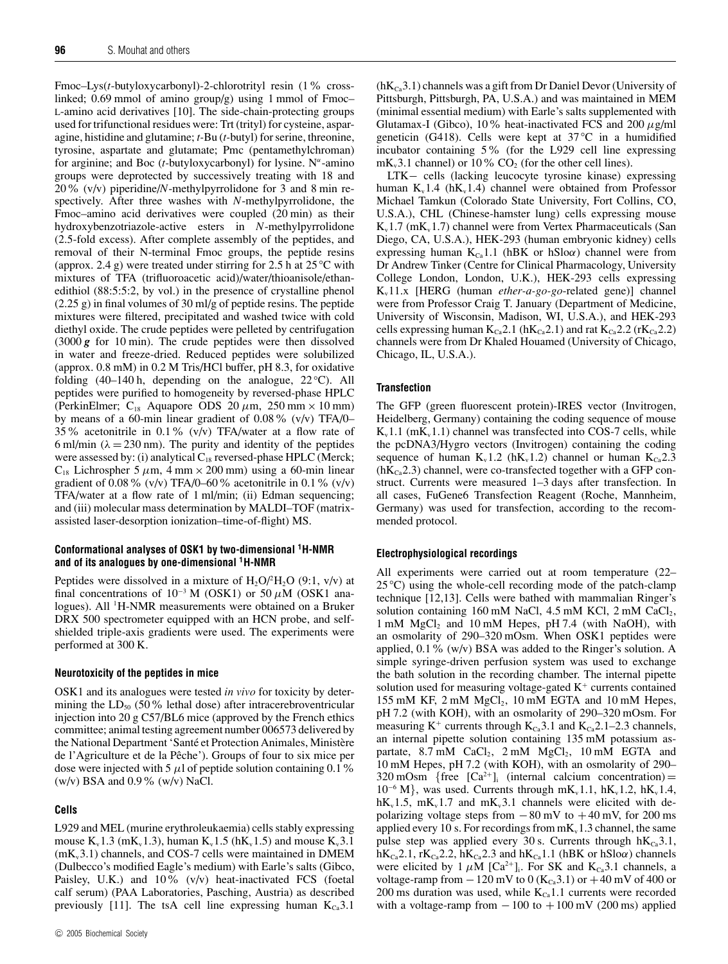Fmoc–Lys(*t*-butyloxycarbonyl)-2-chlorotrityl resin (1% crosslinked; 0.69 mmol of amino group/g) using 1 mmol of Fmoc– L-amino acid derivatives [10]. The side-chain-protecting groups used for trifunctional residues were: Trt (trityl) for cysteine, asparagine, histidine and glutamine; *t-*Bu (*t-*butyl) for serine, threonine, tyrosine, aspartate and glutamate; Pmc (pentamethylchroman) for arginine; and Boc (*t*-butyloxycarbonyl) for lysine. N<sup>α</sup>-amino groups were deprotected by successively treating with 18 and 20% (v/v) piperidine/*N*-methylpyrrolidone for 3 and 8 min respectively. After three washes with *N*-methylpyrrolidone, the Fmoc–amino acid derivatives were coupled (20 min) as their hydroxybenzotriazole-active esters in *N*-methylpyrrolidone (2.5-fold excess). After complete assembly of the peptides, and removal of their N-terminal Fmoc groups, the peptide resins (approx. 2.4 g) were treated under stirring for 2.5 h at 25 *◦* C with mixtures of TFA (trifluoroacetic acid)/water/thioanisole/ethanedithiol (88:5:5:2, by vol.) in the presence of crystalline phenol (2.25 g) in final volumes of 30 ml/g of peptide resins. The peptide mixtures were filtered, precipitated and washed twice with cold diethyl oxide. The crude peptides were pelleted by centrifugation (3000 *g* for 10 min). The crude peptides were then dissolved in water and freeze-dried. Reduced peptides were solubilized (approx. 0.8 mM) in 0.2 M Tris/HCl buffer, pH 8.3, for oxidative folding (40–140 h, depending on the analogue, 22 °C). All peptides were purified to homogeneity by reversed-phase HPLC (PerkinElmer;  $C_{18}$  Aquapore ODS 20  $\mu$ m, 250 mm × 10 mm) by means of a 60-min linear gradient of 0.08% (v/v) TFA/0– 35% acetonitrile in 0.1% (v/v) TFA/water at a flow rate of 6 ml/min ( $\lambda = 230$  nm). The purity and identity of the peptides were assessed by: (i) analytical  $C_{18}$  reversed-phase HPLC (Merck;  $C_{18}$  Lichrospher 5  $\mu$ m, 4 mm × 200 mm) using a 60-min linear gradient of 0.08% (v/v) TFA/0–60% acetonitrile in 0.1% (v/v) TFA/water at a flow rate of 1 ml/min; (ii) Edman sequencing; and (iii) molecular mass determination by MALDI–TOF (matrixassisted laser-desorption ionization–time-of-flight) MS.

# **Conformational analyses of OSK1 by two-dimensional 1H-NMR and of its analogues by one-dimensional 1H-NMR**

Peptides were dissolved in a mixture of  $H_2O/H_2O$  (9:1, v/v) at final concentrations of  $10^{-3}$  M (OSK1) or 50  $\mu$ M (OSK1 analogues). All <sup>1</sup>H-NMR measurements were obtained on a Bruker DRX 500 spectrometer equipped with an HCN probe, and selfshielded triple-axis gradients were used. The experiments were performed at 300 K.

#### **Neurotoxicity of the peptides in mice**

OSK1 and its analogues were tested *in vivo* for toxicity by determining the  $LD_{50}$  (50% lethal dose) after intracerebroventricular injection into 20 g C57/BL6 mice (approved by the French ethics committee; animal testing agreement number 006573 delivered by the National Department 'Santé et Protection Animales, Ministère de l'Agriculture et de la Pêche'). Groups of four to six mice per dose were injected with 5  $\mu$ l of peptide solution containing 0.1 % (w/v) BSA and 0.9% (w/v) NaCl.

## **Cells**

L929 and MEL (murine erythroleukaemia) cells stably expressing mouse  $K_v 1.3$  (m $K_v 1.3$ ), human  $K_v 1.5$  (h $K_v 1.5$ ) and mouse  $K_v 3.1$  $(mK<sub>v</sub>3.1)$  channels, and COS-7 cells were maintained in DMEM (Dulbecco's modified Eagle's medium) with Earle's salts (Gibco, Paisley, U.K.) and 10% (v/v) heat-inactivated FCS (foetal calf serum) (PAA Laboratories, Pasching, Austria) as described previously [11]. The tsA cell line expressing human  $K_{Ca}3.1$ 

 $(hK_{\text{Ca}}3.1)$  channels was a gift from Dr Daniel Devor (University of Pittsburgh, Pittsburgh, PA, U.S.A.) and was maintained in MEM (minimal essential medium) with Earle's salts supplemented with Glutamax-I (Gibco), 10% heat-inactivated FCS and 200  $\mu$ g/ml geneticin (G418). Cells were kept at 37 *◦*C in a humidified incubator containing 5% (for the L929 cell line expressing  $mK_v3.1$  channel) or 10%  $CO<sub>2</sub>$  (for the other cell lines).

LTK− cells (lacking leucocyte tyrosine kinase) expressing human  $K_v1.4$  (h $K_v1.4$ ) channel were obtained from Professor Michael Tamkun (Colorado State University, Fort Collins, CO, U.S.A.), CHL (Chinese-hamster lung) cells expressing mouse  $K_v1.7$  (m $K_v1.7$ ) channel were from Vertex Pharmaceuticals (San Diego, CA, U.S.A.), HEK-293 (human embryonic kidney) cells expressing human  $K_{Ca}1.1$  (hBK or hSlo $\alpha$ ) channel were from Dr Andrew Tinker (Centre for Clinical Pharmacology, University College London, London, U.K.), HEK-293 cells expressing Kv11.x [HERG (human *ether-a-go-go*-related gene)] channel were from Professor Craig T. January (Department of Medicine, University of Wisconsin, Madison, WI, U.S.A.), and HEK-293 cells expressing human  $K_{Ca}$ 2.1 (h $K_{Ca}$ 2.1) and rat  $K_{Ca}$ 2.2 (r $K_{Ca}$ 2.2) channels were from Dr Khaled Houamed (University of Chicago, Chicago, IL, U.S.A.).

## **Transfection**

The GFP (green fluorescent protein)-IRES vector (Invitrogen, Heidelberg, Germany) containing the coding sequence of mouse  $K_v1.1$  (m $K_v1.1$ ) channel was transfected into COS-7 cells, while the pcDNA3/Hygro vectors (Invitrogen) containing the coding sequence of human  $K_v1.2$  (h $K_v1.2$ ) channel or human  $K_{Ca}2.3$  $(hK<sub>Ca</sub>2.3)$  channel, were co-transfected together with a GFP construct. Currents were measured 1–3 days after transfection. In all cases, FuGene6 Transfection Reagent (Roche, Mannheim, Germany) was used for transfection, according to the recommended protocol.

### **Electrophysiological recordings**

All experiments were carried out at room temperature (22– 25 <sup>°</sup>C) using the whole-cell recording mode of the patch-clamp technique [12,13]. Cells were bathed with mammalian Ringer's solution containing 160 mM NaCl, 4.5 mM KCl,  $2 \text{ mM }$  CaCl<sub>2</sub>,  $1 \text{ mM } MgCl<sub>2</sub>$  and  $10 \text{ mM } Hepes$ , pH 7.4 (with NaOH), with an osmolarity of 290–320 mOsm. When OSK1 peptides were applied,  $0.1\%$  (w/v) BSA was added to the Ringer's solution. A simple syringe-driven perfusion system was used to exchange the bath solution in the recording chamber. The internal pipette solution used for measuring voltage-gated  $K^+$  currents contained 155 mM KF,  $2 \text{ mM } MgCl_2$ ,  $10 \text{ mM } EGTA$  and  $10 \text{ mM } Hepes$ , pH 7.2 (with KOH), with an osmolarity of 290–320 mOsm. For measuring K<sup>+</sup> currents through  $K_{Ca}$ 3.1 and  $K_{Ca}$ 2.1–2.3 channels, an internal pipette solution containing 135 mM potassium aspartate,  $8.7 \text{ mM }$  CaCl<sub>2</sub>,  $2 \text{ mM }$  MgCl<sub>2</sub>,  $10 \text{ mM }$  EGTA and 10 mM Hepes, pH 7.2 (with KOH), with an osmolarity of 290– 320 mOsm {free  $\lbrack Ca^{2+} \rbrack$  (internal calcium concentration) =  $10^{-6}$  M}, was used. Currents through mK<sub>v</sub>1.1, hK<sub>v</sub>1.2, hK<sub>v</sub>1.4,  $h_{\text{W}}1.5$ , mK<sub>v</sub>1.7 and mK<sub>v</sub>3.1 channels were elicited with depolarizing voltage steps from  $-80$  mV to  $+40$  mV, for 200 ms applied every 10 s. For recordings from  $mK_v1.3$  channel, the same pulse step was applied every 30 s. Currents through  $hK_{Ca}3.1$ ,  $hK_{Ca}$ 2.1, r $K_{Ca}$ 2.2,  $hK_{Ca}$ 2.3 and  $hK_{Ca}$ 1.1 (hBK or hSlo $\alpha$ ) channels were elicited by 1  $\mu$ M [Ca<sup>2+</sup>]<sub>i</sub>. For SK and K<sub>Ca</sub>3.1 channels, a voltage-ramp from  $-120$  mV to  $0$  (K<sub>Ca</sub>3.1) or  $+40$  mV of 400 or 200 ms duration was used, while  $K_{Ca}1.1$  currents were recorded with a voltage-ramp from  $-100$  to  $+100$  mV (200 ms) applied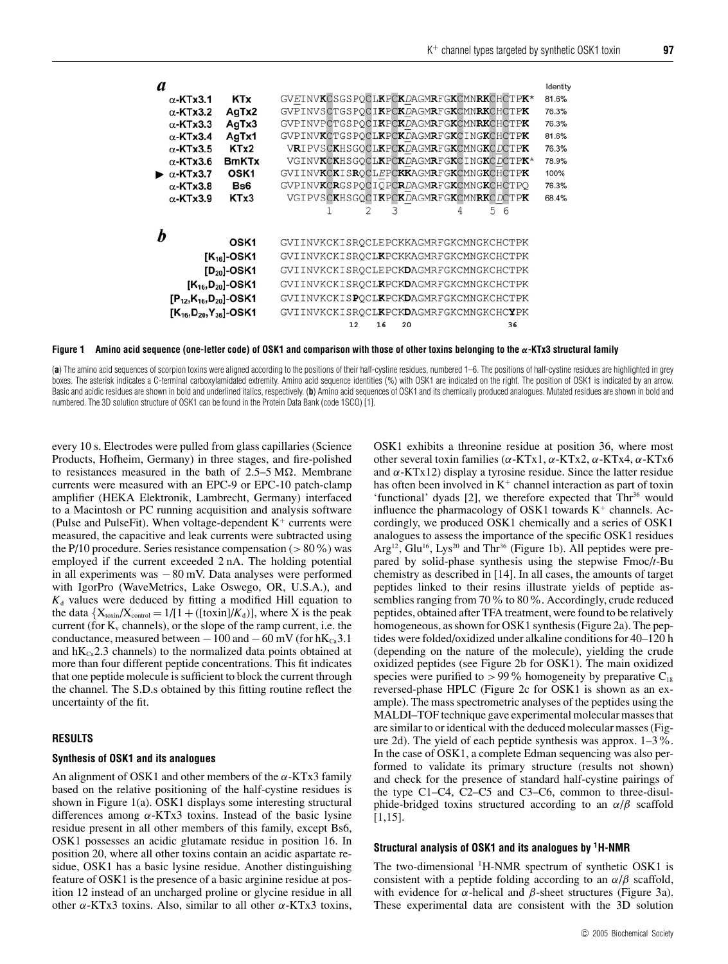| a                                            |                                  |                  |                                         | Identity |  |
|----------------------------------------------|----------------------------------|------------------|-----------------------------------------|----------|--|
|                                              | $\alpha$ -KTx3.1                 | <b>KTx</b>       | GVEINVKCSGSPOCLKPCKDAGMRFGKCMNRKCHCTPK* | 81.6%    |  |
|                                              | $\alpha$ -KTx3.2                 | AgTx2            | GVPINVSCTGSPOCIKPCKDAGMRFGKCMNRKCHCTPK  | 76.3%    |  |
|                                              | $\alpha$ -KTx3.3                 | AgTx3            | GVPINVPCTGSPOCIKPCKDAGMRFGKCMNRKCHCTPK  | 76.3%    |  |
|                                              | $\alpha$ -KTx3.4                 | AgTx1            | GVPINVKCTGSPOCLKPCKDAGMRFGKCINGKCHCTPK  | 81.6%    |  |
|                                              | $\alpha$ -KTx3.5                 | KTx2             | VRIPVSCKHSGOCLKPCKDAGMRFGKCMNGKCDCTPK   | 76.3%    |  |
|                                              | $\alpha$ -KTx3.6                 | <b>BmKTx</b>     | VGINVKCKHSGOCLKPCKDAGMRFGKCINGKCDCTPK*  | 78.9%    |  |
|                                              | $\bullet$ $\alpha$ -KTx3.7       | OSK <sub>1</sub> | GVIINVKCKISROCLEPCKKAGMRFGKCMNGKCHCTPK  | 100%     |  |
|                                              | $\alpha$ -KTx3.8                 | Bs6              | GVPINVKCRGSPOCIOPCRDAGMRFGKCMNGKCHCTPO  | 76.3%    |  |
|                                              | $\alpha$ -KTx3.9                 | KTx3             | VGIPVSCKHSGOCIKPCKDAGMRFGKCMNRKCDCTPK   | 68.4%    |  |
|                                              |                                  |                  | 5<br>6<br>2<br>3<br>4                   |          |  |
|                                              |                                  |                  |                                         |          |  |
|                                              |                                  | OSK <sub>1</sub> | GVIINVKCKISROCLEPCKKAGMRFGKCMNGKCHCTPK  |          |  |
|                                              |                                  | $[K_{16}]$ -OSK1 | GVIINVKCKISROCLKPCKKAGMRFGKCMNGKCHCTPK  |          |  |
| $[D_{20}]$ -OSK1<br>$[K_{16}, D_{20}]$ -OSK1 |                                  |                  | GVIINVKCKISROCLEPCKDAGMRFGKCMNGKCHCTPK  |          |  |
|                                              |                                  |                  | GVIINVKCKISROCLKPCKDAGMRFGKCMNGKCHCTPK  |          |  |
|                                              | $[P_{12}, K_{16}, D_{20}]$ -OSK1 |                  | GVIINVKCKISPOCLKPCKDAGMRFGKCMNGKCHCTPK  |          |  |
|                                              | $[K_{16}, D_{20}, Y_{36}]$ -OSK1 |                  | GVIINVKCKISROCLKPCKDAGMRFGKCMNGKCHCYPK  |          |  |
|                                              |                                  |                  | 12<br>20<br>36<br>16                    |          |  |

**Figure 1 Amino acid sequence (one-letter code) of OSK1 and comparison with those of other toxins belonging to the** *α***-KTx3 structural family**

(a) The amino acid sequences of scorpion toxins were aligned according to the positions of their half-cystine residues, numbered 1–6. The positions of half-cystine residues are highlighted in grey boxes. The asterisk indicates a C-terminal carboxylamidated extremity. Amino acid sequence identities (%) with OSK1 are indicated on the right. The position of OSK1 is indicated by an arrow. Basic and acidic residues are shown in bold and underlined italics, respectively. (b) Amino acid sequences of OSK1 and its chemically produced analogues. Mutated residues are shown in bold and numbered. The 3D solution structure of OSK1 can be found in the Protein Data Bank (code 1SCO) [1].

every 10 s. Electrodes were pulled from glass capillaries (Science Products, Hofheim, Germany) in three stages, and fire-polished to resistances measured in the bath of  $2.5-5 \text{ M}\Omega$ . Membrane currents were measured with an EPC-9 or EPC-10 patch-clamp amplifier (HEKA Elektronik, Lambrecht, Germany) interfaced to a Macintosh or PC running acquisition and analysis software (Pulse and PulseFit). When voltage-dependent  $K^+$  currents were measured, the capacitive and leak currents were subtracted using the P/10 procedure. Series resistance compensation ( $>80\%$ ) was employed if the current exceeded 2 nA. The holding potential in all experiments was −80 mV. Data analyses were performed with IgorPro (WaveMetrics, Lake Oswego, OR, U.S.A.), and  $K_d$  values were deduced by fitting a modified Hill equation to the data  ${X_{\text{toxin}}/X_{\text{control}} = 1/[1 + ([\text{toxin}]/K_d)]}$ , where X is the peak current (for  $K_v$  channels), or the slope of the ramp current, i.e. the conductance, measured between  $-100$  and  $-60$  mV (for hK<sub>Ca</sub>3.1) and  $hK_{Ca}2.3$  channels) to the normalized data points obtained at more than four different peptide concentrations. This fit indicates that one peptide molecule is sufficient to block the current through the channel. The S.D.s obtained by this fitting routine reflect the uncertainty of the fit.

## **RESULTS**

#### **Synthesis of OSK1 and its analogues**

An alignment of OSK1 and other members of the  $\alpha$ -KTx3 family based on the relative positioning of the half-cystine residues is shown in Figure 1(a). OSK1 displays some interesting structural differences among  $\alpha$ -KTx3 toxins. Instead of the basic lysine residue present in all other members of this family, except Bs6, OSK1 possesses an acidic glutamate residue in position 16. In position 20, where all other toxins contain an acidic aspartate residue, OSK1 has a basic lysine residue. Another distinguishing feature of OSK1 is the presence of a basic arginine residue at position 12 instead of an uncharged proline or glycine residue in all other α-KTx3 toxins. Also, similar to all other α-KTx3 toxins, OSK1 exhibits a threonine residue at position 36, where most other several toxin families ( $\alpha$ -KTx1,  $\alpha$ -KTx2,  $\alpha$ -KTx4,  $\alpha$ -KTx6 and  $\alpha$ -KTx12) display a tyrosine residue. Since the latter residue has often been involved in  $K^+$  channel interaction as part of toxin 'functional' dyads  $[2]$ , we therefore expected that  $Thr^{36}$  would influence the pharmacology of OSK1 towards  $K^+$  channels. Accordingly, we produced OSK1 chemically and a series of OSK1 analogues to assess the importance of the specific OSK1 residues Arg<sup>12</sup>, Glu<sup>16</sup>, Lys<sup>20</sup> and Thr<sup>36</sup> (Figure 1b). All peptides were prepared by solid-phase synthesis using the stepwise Fmoc/*t*-Bu chemistry as described in [14]. In all cases, the amounts of target peptides linked to their resins illustrate yields of peptide assemblies ranging from 70% to 80%. Accordingly, crude reduced peptides, obtained after TFA treatment, were found to be relatively homogeneous, as shown for OSK1 synthesis (Figure 2a). The peptides were folded/oxidized under alkaline conditions for 40–120 h (depending on the nature of the molecule), yielding the crude oxidized peptides (see Figure 2b for OSK1). The main oxidized species were purified to  $> 99\%$  homogeneity by preparative  $C_{18}$ reversed-phase HPLC (Figure 2c for OSK1 is shown as an example). The mass spectrometric analyses of the peptides using the MALDI–TOF technique gave experimental molecular masses that are similar to or identical with the deduced molecular masses (Figure 2d). The yield of each peptide synthesis was approx. 1–3%. In the case of OSK1, a complete Edman sequencing was also performed to validate its primary structure (results not shown) and check for the presence of standard half-cystine pairings of the type C1–C4, C2–C5 and C3–C6, common to three-disulphide-bridged toxins structured according to an  $\alpha/\beta$  scaffold [1,15].

## **Structural analysis of OSK1 and its analogues by 1H-NMR**

The two-dimensional <sup>1</sup>H-NMR spectrum of synthetic OSK1 is consistent with a peptide folding according to an  $\alpha/\beta$  scaffold, with evidence for  $\alpha$ -helical and  $\beta$ -sheet structures (Figure 3a). These experimental data are consistent with the 3D solution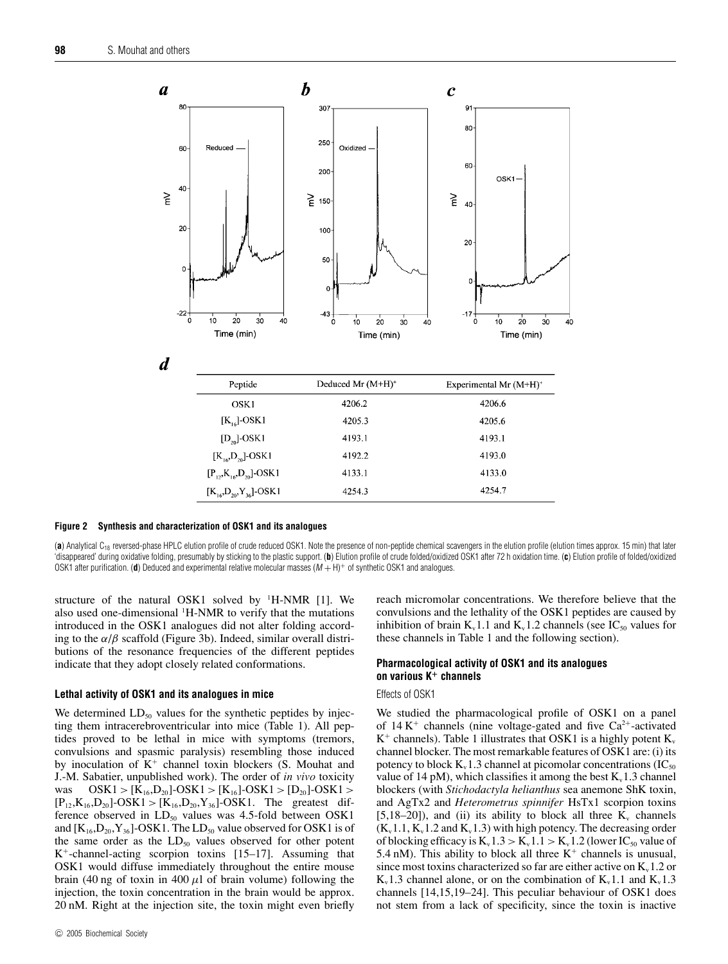

**Figure 2 Synthesis and characterization of OSK1 and its analogues**

(a) Analytical C<sub>18</sub> reversed-phase HPLC elution profile of crude reduced OSK1. Note the presence of non-peptide chemical scavengers in the elution profile (elution times approx. 15 min) that later 'disappeared' during oxidative folding, presumably by sticking to the plastic support. (**b**) Elution profile of crude folded/oxidized OSK1 after 72 h oxidation time. (**c**) Elution profile of folded/oxidized OSK1 after purification. (d) Deduced and experimental relative molecular masses  $(M + H)^+$  of synthetic OSK1 and analogues.

structure of the natural OSK1 solved by <sup>1</sup>H-NMR [1]. We also used one-dimensional <sup>1</sup>H-NMR to verify that the mutations introduced in the OSK1 analogues did not alter folding according to the  $\alpha/\beta$  scaffold (Figure 3b). Indeed, similar overall distributions of the resonance frequencies of the different peptides indicate that they adopt closely related conformations.

## **Lethal activity of OSK1 and its analogues in mice**

We determined  $LD_{50}$  values for the synthetic peptides by injecting them intracerebroventricular into mice (Table 1). All peptides proved to be lethal in mice with symptoms (tremors, convulsions and spasmic paralysis) resembling those induced by inoculation of  $K^+$  channel toxin blockers (S. Mouhat and J.-M. Sabatier, unpublished work). The order of *in vivo* toxicity was  $OSK1 > [K_{16}, D_{20}]$ -OSK1 > [K<sub>16</sub>]-OSK1 > [D<sub>20</sub>]-OSK1 >  $[P_{12},K_{16},D_{20}]-OSK1>[K_{16},D_{20},Y_{36}]-OSK1$ . The greatest difference observed in  $LD_{50}$  values was 4.5-fold between OSK1 and  $[K_{16},D_{20},Y_{36}]$ -OSK1. The LD<sub>50</sub> value observed for OSK1 is of the same order as the  $LD_{50}$  values observed for other potent  $K^+$ -channel-acting scorpion toxins [15–17]. Assuming that OSK1 would diffuse immediately throughout the entire mouse brain (40 ng of toxin in 400  $\mu$ l of brain volume) following the injection, the toxin concentration in the brain would be approx. 20 nM. Right at the injection site, the toxin might even briefly reach micromolar concentrations. We therefore believe that the convulsions and the lethality of the OSK1 peptides are caused by inhibition of brain  $K_v 1.1$  and  $K_v 1.2$  channels (see IC<sub>50</sub> values for these channels in Table 1 and the following section).

## **Pharmacological activity of OSK1 and its analogues on various K<sup>+</sup> channels**

## Effects of OSK1

We studied the pharmacological profile of OSK1 on a panel of  $14 K<sup>+</sup>$  channels (nine voltage-gated and five Ca<sup>2+</sup>-activated  $K^+$  channels). Table 1 illustrates that OSK1 is a highly potent  $K_v$ channel blocker. The most remarkable features of OSK1 are: (i) its potency to block  $K_v 1.3$  channel at picomolar concentrations (IC<sub>50</sub>) value of 14 pM), which classifies it among the best  $K_v$ 1.3 channel blockers (with *Stichodactyla helianthus* sea anemone ShK toxin, and AgTx2 and *Heterometrus spinnifer* HsTx1 scorpion toxins [5,18–20]), and (ii) its ability to block all three  $K_v$  channels  $(K_v1.1, K_v1.2$  and  $K_v1.3)$  with high potency. The decreasing order of blocking efficacy is  $K_v 1.3 > K_v 1.1 > K_v 1.2$  (lower IC<sub>50</sub> value of 5.4 nM). This ability to block all three  $K^+$  channels is unusual, since most toxins characterized so far are either active on  $K_v 1.2$  or  $K_v 1.3$  channel alone, or on the combination of  $K_v 1.1$  and  $K_v 1.3$ channels [14,15,19–24]. This peculiar behaviour of OSK1 does not stem from a lack of specificity, since the toxin is inactive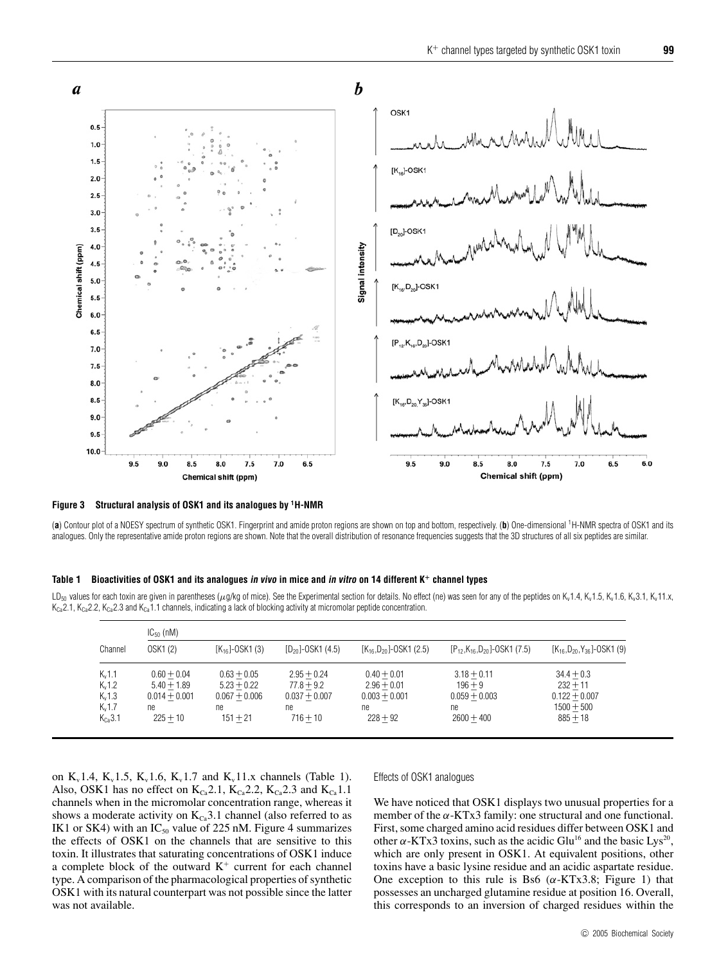

**Figure 3 Structural analysis of OSK1 and its analogues by 1H-NMR**

(**a**) Contour plot of a NOESY spectrum of synthetic OSK1. Fingerprint and amide proton regions are shown on top and bottom, respectively. (**b**) One-dimensional 1H-NMR spectra of OSK1 and its analogues. Only the representative amide proton regions are shown. Note that the overall distribution of resonance frequencies suggests that the 3D structures of all six peptides are similar.

#### **Table 1 Bioactivities of OSK1 and its analogues in vivo in mice and in vitro on 14 different K<sup>+</sup> channel types**

LD<sub>50</sub> values for each toxin are given in parentheses ( $\mu q$ /kg of mice). See the Experimental section for details. No effect (ne) was seen for any of the peptides on K<sub>v</sub>1.4, K<sub>v</sub>1.5, K<sub>v</sub>1.5, K<sub>v</sub>1.6, K<sub>v</sub>3.1, K<sub>v</sub>11.x,  $K_{Ca}^2$ 2.1, K<sub>Ca</sub>2.2, K<sub>Ca</sub>2.3 and K<sub>Ca</sub>1.1 channels, indicating a lack of blocking activity at micromolar peptide concentration.

|             | $IC_{50}$ (nM)  |                    |                        |                                |                                        |                                      |  |  |
|-------------|-----------------|--------------------|------------------------|--------------------------------|----------------------------------------|--------------------------------------|--|--|
| Channel     | OSK1(2)         | $[K_{16}]-OSK1(3)$ | $[D_{20}]$ -OSK1 (4.5) | $[K_{16}, D_{20}]$ -OSK1 (2.5) | $[P_{12}, K_{16}, D_{20}]$ -OSK1 (7.5) | $[K_{16}, D_{20}, Y_{36}]$ -OSK1 (9) |  |  |
| $K_v 1.1$   | $0.60 + 0.04$   | $0.63 + 0.05$      | $2.95 + 0.24$          | $0.40 + 0.01$                  | $3.18 + 0.11$                          | $34.4 + 0.3$                         |  |  |
| $K_v 1.2$   | $5.40 + 1.89$   | $5.23 + 0.22$      | $77.8 + 9.2$           | $2.96 + 0.01$                  | $196 + 9$                              | $232 + 11$                           |  |  |
| $K_v 1.3$   | $0.014 + 0.001$ | $0.067 + 0.006$    | $0.037 + 0.007$        | $0.003 + 0.001$                | $0.059 + 0.003$                        | $0.122 + 0.007$                      |  |  |
| $K_v1.7$    | ne              | ne.                | ne                     | ne                             | ne                                     | $1500 + 500$                         |  |  |
| $K_{Ca}3.1$ | $225 + 10$      | $151 + 21$         | $716 + 10$             | $228 + 92$                     | $2600 + 400$                           | $885 + 18$                           |  |  |

on  $K_v$ 1.4,  $K_v$ 1.5,  $K_v$ 1.6,  $K_v$ 1.7 and  $K_v$ 11.x channels (Table 1). Also, OSK1 has no effect on  $K_{Ca}2.1$ ,  $K_{Ca}2.2$ ,  $K_{Ca}2.3$  and  $K_{Ca}1.1$ channels when in the micromolar concentration range, whereas it shows a moderate activity on  $K_{Ca}$ 3.1 channel (also referred to as IK1 or SK4) with an  $IC_{50}$  value of 225 nM. Figure 4 summarizes the effects of OSK1 on the channels that are sensitive to this toxin. It illustrates that saturating concentrations of OSK1 induce a complete block of the outward  $K^+$  current for each channel type. A comparison of the pharmacological properties of synthetic OSK1 with its natural counterpart was not possible since the latter was not available.

## Effects of OSK1 analogues

We have noticed that OSK1 displays two unusual properties for a member of the  $\alpha$ -KTx3 family: one structural and one functional. First, some charged amino acid residues differ between OSK1 and other  $\alpha$ -KTx3 toxins, such as the acidic Glu<sup>16</sup> and the basic Lys<sup>20</sup>, which are only present in OSK1. At equivalent positions, other toxins have a basic lysine residue and an acidic aspartate residue. One exception to this rule is Bs6 ( $\alpha$ -KTx3.8; Figure 1) that possesses an uncharged glutamine residue at position 16. Overall, this corresponds to an inversion of charged residues within the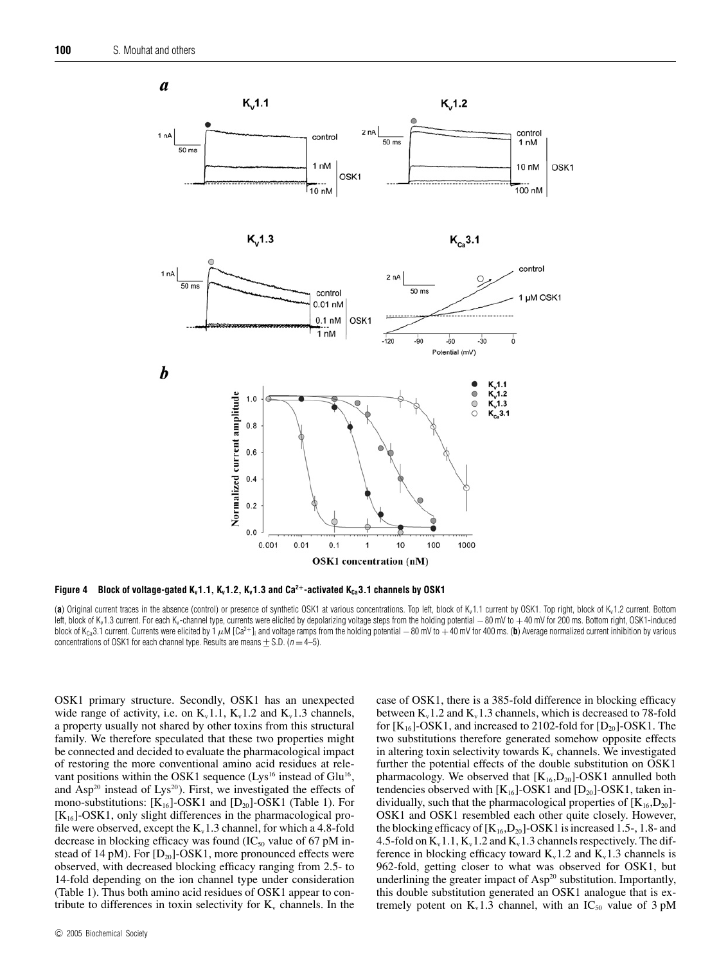

**Figure 4** Block of voltage-gated K<sub>v</sub>1.1, K<sub>v</sub>1.2, K<sub>v</sub>1.3 and Ca<sup>2+</sup>-activated K<sub>Ca</sub>3.1 channels by OSK1

(a) Original current traces in the absence (control) or presence of synthetic OSK1 at various concentrations. Top left, block of K<sub>v</sub>1.1 current by OSK1. Top right, block of K<sub>v</sub>1.2 current. Bottom left, block of K<sub>v</sub>1.3 current. For each K<sub>v</sub>-channel type, currents were elicited by depolarizing voltage steps from the holding potential −80 mV to +40 mV for 200 ms. Bottom right, OSK1-induced block of K<sub>Ca</sub>3.1 current. Currents were elicited by 1  $\mu$ M [Ca<sup>2+</sup>]<sub>i</sub> and voltage ramps from the holding potential  $-$  80 mV to +40 mV for 400 ms. (**b**) Average normalized current inhibition by various concentrations of OSK1 for each channel type. Results are means  $+ S.D.$  ( $n = 4-5$ ).

OSK1 primary structure. Secondly, OSK1 has an unexpected wide range of activity, i.e. on  $K_v1.1$ ,  $K_v1.2$  and  $K_v1.3$  channels, a property usually not shared by other toxins from this structural family. We therefore speculated that these two properties might be connected and decided to evaluate the pharmacological impact of restoring the more conventional amino acid residues at relevant positions within the OSK1 sequence  $(Lys^{16})$  instead of Glu<sup>16</sup>, and Asp<sup>20</sup> instead of Lys<sup>20</sup>). First, we investigated the effects of mono-substitutions:  $[K_{16}]$ -OSK1 and  $[D_{20}]$ -OSK1 (Table 1). For  $[K_{16}]$ -OSK1, only slight differences in the pharmacological profile were observed, except the  $K_v1.3$  channel, for which a 4.8-fold decrease in blocking efficacy was found  $(IC_{50}$  value of 67 pM instead of 14 pM). For  $[D_{20}]$ -OSK1, more pronounced effects were observed, with decreased blocking efficacy ranging from 2.5- to 14-fold depending on the ion channel type under consideration (Table 1). Thus both amino acid residues of OSK1 appear to contribute to differences in toxin selectivity for  $K_v$  channels. In the case of OSK1, there is a 385-fold difference in blocking efficacy between  $K_v 1.2$  and  $K_v 1.3$  channels, which is decreased to 78-fold for  $[K_{16}]$ -OSK1, and increased to 2102-fold for  $[D_{20}]$ -OSK1. The two substitutions therefore generated somehow opposite effects in altering toxin selectivity towards  $K<sub>v</sub>$  channels. We investigated further the potential effects of the double substitution on OSK1 pharmacology. We observed that  $[K_{16},D_{20}]$ -OSK1 annulled both tendencies observed with  $[K_{16}]$ -OSK1 and  $[D_{20}]$ -OSK1, taken individually, such that the pharmacological properties of  $[K_{16}, D_{20}]$ -OSK1 and OSK1 resembled each other quite closely. However, the blocking efficacy of  $[K_{16},D_{20}]$ -OSK1 is increased 1.5-, 1.8- and 4.5-fold on  $K_v$ 1.1,  $K_v$ 1.2 and  $K_v$ 1.3 channels respectively. The difference in blocking efficacy toward  $K_v 1.2$  and  $K_v 1.3$  channels is 962-fold, getting closer to what was observed for OSK1, but underlining the greater impact of Asp<sup>20</sup> substitution. Importantly, this double substitution generated an OSK1 analogue that is extremely potent on  $K_v1.3$  channel, with an  $IC_{50}$  value of 3 pM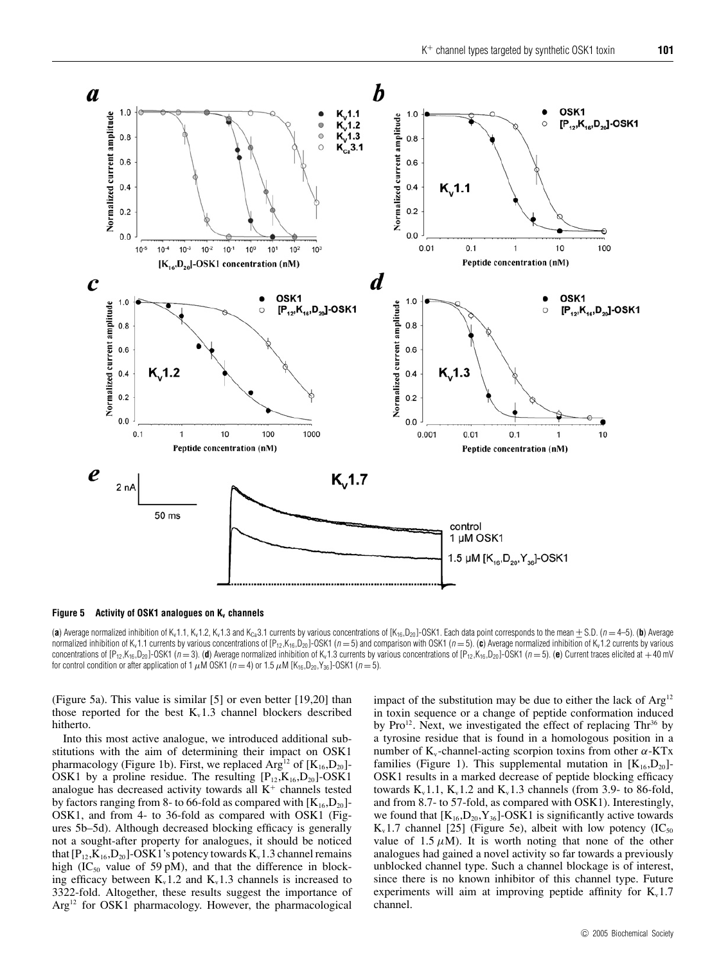

**Figure 5 Activity of OSK1 analogues on K<sub>v</sub> channels** 

(a) Average normalized inhibition of K<sub>v</sub>1.1, K<sub>v</sub>1.2, K<sub>v</sub>1.3 and K<sub>Ca</sub>3.1 currents by various concentrations of [K<sub>16</sub>,D<sub>20</sub>]-OSK1. Each data point corresponds to the mean  $\pm$  S.D. (n = 4–5). (b) Average normalized inhibition of K<sub>v</sub>1.1 currents by various concentrations of [P<sub>12</sub>,K<sub>16</sub>,D<sub>20</sub>]-OSK1 (n = 5) and comparison with OSK1 (n = 5). (c) Average normalized inhibition of K<sub>v</sub>1.2 currents by various concentrations of  $[P_{12}, K_{16}, D_{20}]$ -OSK1 (n = 3). (d) Average normalized inhibition of K<sub>v</sub>1.3 currents by various concentrations of  $[P_{12}, K_{16}, D_{20}]$ -OSK1 (n = 5). (e) Current traces elicited at +40 mV for control condition or after application of 1  $\mu$ M OSK1 ( $n = 4$ ) or 1.5  $\mu$ M [K<sub>16</sub>,D<sub>20</sub>,Y<sub>36</sub>]-OSK1 ( $n = 5$ ).

(Figure 5a). This value is similar [5] or even better [19,20] than those reported for the best  $K_v1.3$  channel blockers described hitherto.

Into this most active analogue, we introduced additional substitutions with the aim of determining their impact on OSK1 pharmacology (Figure 1b). First, we replaced  $Arg<sup>12</sup>$  of  $[K<sub>16</sub>, D<sub>20</sub>]$ -OSK1 by a proline residue. The resulting  $[P_{12},K_{16},D_{20}]$ -OSK1 analogue has decreased activity towards all  $K^+$  channels tested by factors ranging from 8- to 66-fold as compared with  $[K_{16}, D_{20}]$ -OSK1, and from 4- to 36-fold as compared with OSK1 (Figures 5b–5d). Although decreased blocking efficacy is generally not a sought-after property for analogues, it should be noticed that  $[P_{12},K_{16},D_{20}]$ -OSK1's potency towards  $K_v$ 1.3 channel remains high (IC<sub>50</sub> value of 59 pM), and that the difference in blocking efficacy between  $K_v1.2$  and  $K_v1.3$  channels is increased to 3322-fold. Altogether, these results suggest the importance of Arg<sup>12</sup> for OSK1 pharmacology. However, the pharmacological

impact of the substitution may be due to either the lack of  $Arg<sup>12</sup>$ in toxin sequence or a change of peptide conformation induced by Pro<sup>12</sup>. Next, we investigated the effect of replacing  $Thr^{36}$  by a tyrosine residue that is found in a homologous position in a number of K<sub>v</sub>-channel-acting scorpion toxins from other α-KTx families (Figure 1). This supplemental mutation in  $[K_{16}, D_{20}]$ -OSK1 results in a marked decrease of peptide blocking efficacy towards  $K_v$ 1.1,  $K_v$ 1.2 and  $K_v$ 1.3 channels (from 3.9- to 86-fold, and from 8.7- to 57-fold, as compared with OSK1). Interestingly, we found that  $[K_{16},D_{20},Y_{36}]$ -OSK1 is significantly active towards  $K_v1.7$  channel [25] (Figure 5e), albeit with low potency (IC<sub>50</sub>) value of 1.5  $\mu$ M). It is worth noting that none of the other analogues had gained a novel activity so far towards a previously unblocked channel type. Such a channel blockage is of interest, since there is no known inhibitor of this channel type. Future experiments will aim at improving peptide affinity for  $K_v$ 1.7 channel.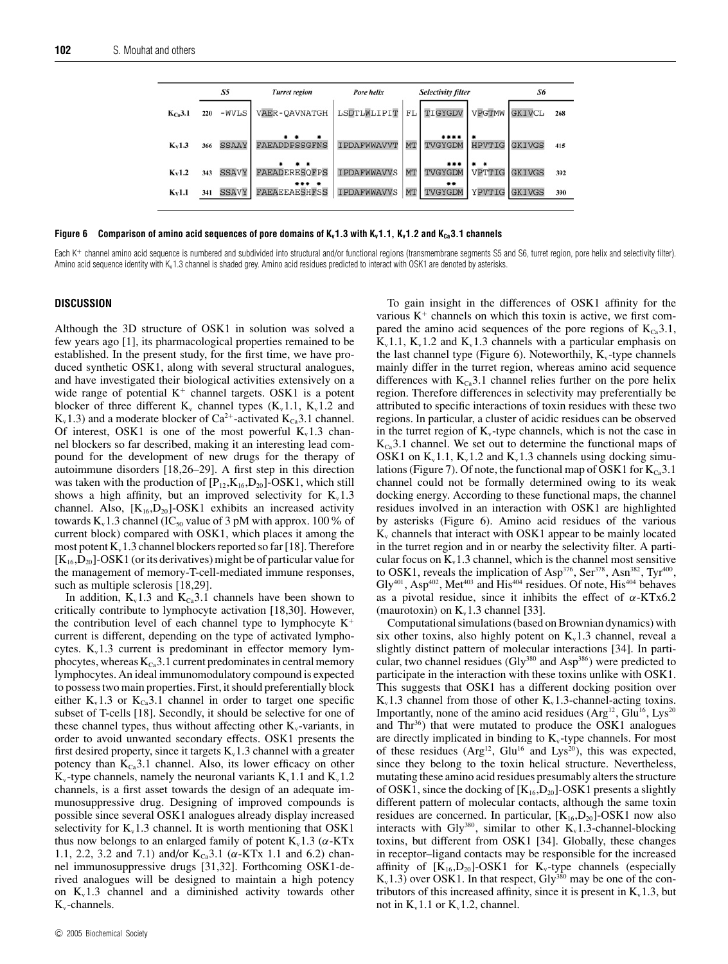|             | S5  |              | <b>Turret region</b>          | Pore helix         |    | <b>Selectivity filter</b> | S6            |               |     |
|-------------|-----|--------------|-------------------------------|--------------------|----|---------------------------|---------------|---------------|-----|
| $K_{Ca}3.1$ | 220 | $-WVLS$      | VAER-OAVNATGH                 | LSDTLWLIPIT        | FL | TIGYGDV                   | VPGTMW        | <b>GKIVCL</b> | 268 |
| $K_v1.3$    | 366 | <b>SSAAY</b> | <b>FAEADDPSSGFNS</b>          | <b>IPDAFWWAVVT</b> | MT | ****<br>TVGYGDM           | <b>HPVTIG</b> | <b>GKIVGS</b> | 415 |
| $K_V1.2$    | 343 | <b>SSAVY</b> | <b>FAEADERESOFPS</b>          | <b>IPDAFWWAVVS</b> | MT | ***<br>TVGYGDM            | VPTTIG        | <b>GKIVGS</b> | 392 |
| $K_V1.1$    | 341 | <b>SSAVY</b> | *** *<br><b>FAEAEEAESHFSS</b> | <b>IPDAFWWAVVS</b> | MT | **<br>TVGYGDM             | YPVTIG        | <b>GKIVGS</b> | 390 |

#### **Figure 6** Comparison of amino acid sequences of pore domains of  $K_v 1.3$  with  $K_v 1.1$ ,  $K_v 1.2$  and  $K_{ca} 3.1$  channels

Each K+ channel amino acid sequence is numbered and subdivided into structural and/or functional regions (transmembrane segments S5 and S6, turret region, pore helix and selectivity filter). Amino acid sequence identity with K<sub>v</sub>1.3 channel is shaded grey. Amino acid residues predicted to interact with OSK1 are denoted by asterisks.

## **DISCUSSION**

Although the 3D structure of OSK1 in solution was solved a few years ago [1], its pharmacological properties remained to be established. In the present study, for the first time, we have produced synthetic OSK1, along with several structural analogues, and have investigated their biological activities extensively on a wide range of potential  $K^+$  channel targets. OSK1 is a potent blocker of three different  $K_v$  channel types  $(K_v 1.1, K_v 1.2$  and  $K_v1.3$ ) and a moderate blocker of Ca<sup>2+</sup>-activated  $K_{Ca}3.1$  channel. Of interest, OSK1 is one of the most powerful  $K_v$ 1.3 channel blockers so far described, making it an interesting lead compound for the development of new drugs for the therapy of autoimmune disorders [18,26–29]. A first step in this direction was taken with the production of  $[P_{12},K_{16},D_{20}]$ -OSK1, which still shows a high affinity, but an improved selectivity for  $K_v 1.3$ channel. Also,  $[K_{16}, D_{20}]$ -OSK1 exhibits an increased activity towards  $K_v 1.3$  channel (IC<sub>50</sub> value of 3 pM with approx. 100% of current block) compared with OSK1, which places it among the most potent  $K_v 1.3$  channel blockers reported so far [18]. Therefore  $[K_{16},D_{20}]$ -OSK1 (or its derivatives) might be of particular value for the management of memory-T-cell-mediated immune responses, such as multiple sclerosis [18,29].

In addition,  $K_v 1.3$  and  $K_{Ca} 3.1$  channels have been shown to critically contribute to lymphocyte activation [18,30]. However, the contribution level of each channel type to lymphocyte  $K^+$ current is different, depending on the type of activated lymphocytes.  $K_v 1.3$  current is predominant in effector memory lymphocytes, whereas  $K_{C_8}$ 3.1 current predominates in central memory lymphocytes. An ideal immunomodulatory compound is expected to possess two main properties. First, it should preferentially block either  $K_v 1.3$  or  $K_{v} 3.1$  channel in order to target one specific subset of T-cells [18]. Secondly, it should be selective for one of these channel types, thus without affecting other  $K_v$ -variants, in order to avoid unwanted secondary effects. OSK1 presents the first desired property, since it targets  $K<sub>v</sub>1.3$  channel with a greater potency than  $K_{Ca}$ 3.1 channel. Also, its lower efficacy on other  $K_v$ -type channels, namely the neuronal variants  $K_v 1.1$  and  $K_v 1.2$ channels, is a first asset towards the design of an adequate immunosuppressive drug. Designing of improved compounds is possible since several OSK1 analogues already display increased selectivity for  $K_v1.3$  channel. It is worth mentioning that OSK1 thus now belongs to an enlarged family of potent  $K_v 1.3$  ( $\alpha$ -KTx 1.1, 2.2, 3.2 and 7.1) and/or  $K_{Ca}$ 3.1 ( $\alpha$ -KTx 1.1 and 6.2) channel immunosuppressive drugs [31,32]. Forthcoming OSK1-derived analogues will be designed to maintain a high potency on  $K_v 1.3$  channel and a diminished activity towards other  $K_v$ -channels.

c 2005 Biochemical Society

To gain insight in the differences of OSK1 affinity for the various  $K^+$  channels on which this toxin is active, we first compared the amino acid sequences of the pore regions of  $K_{Ca}3.1$ ,  $K_v1.1$ ,  $K_v1.2$  and  $K_v1.3$  channels with a particular emphasis on the last channel type (Figure 6). Noteworthily,  $K_v$ -type channels mainly differ in the turret region, whereas amino acid sequence differences with  $K_{Ca}3.1$  channel relies further on the pore helix region. Therefore differences in selectivity may preferentially be attributed to specific interactions of toxin residues with these two regions. In particular, a cluster of acidic residues can be observed in the turret region of  $K_v$ -type channels, which is not the case in  $K_{Ca}$ 3.1 channel. We set out to determine the functional maps of OSK1 on  $K_v 1.1$ ,  $K_v 1.2$  and  $K_v 1.3$  channels using docking simulations (Figure 7). Of note, the functional map of OSK1 for  $K_{Ca}$ 3.1 channel could not be formally determined owing to its weak docking energy. According to these functional maps, the channel residues involved in an interaction with OSK1 are highlighted by asterisks (Figure 6). Amino acid residues of the various  $K<sub>v</sub>$  channels that interact with OSK1 appear to be mainly located in the turret region and in or nearby the selectivity filter. A particular focus on  $K<sub>v</sub>1.3$  channel, which is the channel most sensitive to OSK1, reveals the implication of Asp<sup>376</sup>, Ser<sup>378</sup>, Asn<sup>382</sup>, Tyr<sup>400</sup>,  $Gly<sup>401</sup>$ , Asp<sup>402</sup>, Met<sup>403</sup> and His<sup>404</sup> residues. Of note, His<sup>404</sup> behaves as a pivotal residue, since it inhibits the effect of  $\alpha$ -KTx6.2 (maurotoxin) on  $K_v 1.3$  channel [33].

Computational simulations (based on Brownian dynamics) with six other toxins, also highly potent on  $K_v1.3$  channel, reveal a slightly distinct pattern of molecular interactions [34]. In particular, two channel residues (Gly $^{380}$  and Asp<sup>386</sup>) were predicted to participate in the interaction with these toxins unlike with OSK1. This suggests that OSK1 has a different docking position over  $K_v 1.3$  channel from those of other  $K_v 1.3$ -channel-acting toxins. Importantly, none of the amino acid residues  $(Arg^{12}, Glu^{16}, Lys^{20})$ and Thr<sup>36</sup>) that were mutated to produce the OSK1 analogues are directly implicated in binding to  $K_v$ -type channels. For most of these residues ( $Arg<sup>12</sup>$ , Glu<sup>16</sup> and Lys<sup>20</sup>), this was expected, since they belong to the toxin helical structure. Nevertheless, mutating these amino acid residues presumably alters the structure of OSK1, since the docking of  $[K_{16}, D_{20}]$ -OSK1 presents a slightly different pattern of molecular contacts, although the same toxin residues are concerned. In particular,  $[K_{16}, D_{20}]$ -OSK1 now also interacts with Gly<sup>380</sup>, similar to other  $K_v1.3$ -channel-blocking toxins, but different from OSK1 [34]. Globally, these changes in receptor–ligand contacts may be responsible for the increased affinity of  $[K_{16}, D_{20}]$ -OSK1 for K<sub>v</sub>-type channels (especially  $K_v1.3$ ) over OSK1. In that respect, Gly<sup>380</sup> may be one of the contributors of this increased affinity, since it is present in  $K_v 1.3$ , but not in  $K_v 1.1$  or  $K_v 1.2$ , channel.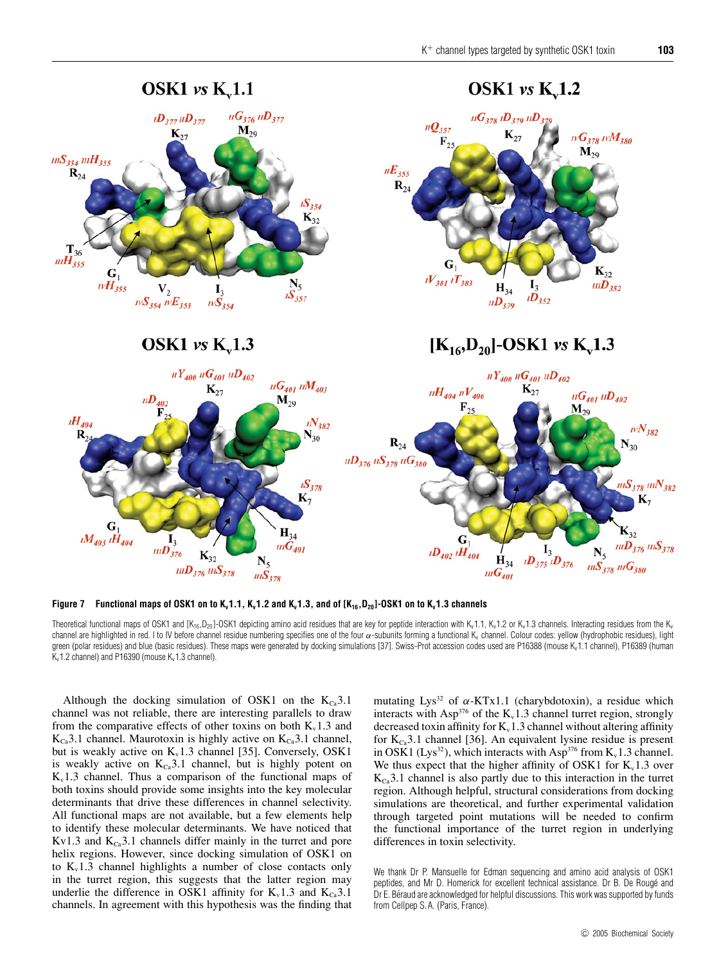

Figure 7 Functional maps of OSK1 on to K<sub>v</sub>1.1, K<sub>v</sub>1.2 and K<sub>v</sub>1.3, and of  $[K_{16},D_{20}]$ -OSK1 on to K<sub>v</sub>1.3 channels

Theoretical functional maps of OSK1 and  $[K_{16},D_{20}]$ -OSK1 depicting amino acid residues that are key for peptide interaction with Kv1.1, Kv1.2 or Kv1.3 channels. Interacting residues from the Kv channel are highlighted in red. I to IV before channel residue numbering specifies one of the four  $\alpha$ -subunits forming a functional K<sub>v</sub> channel. Colour codes: yellow (hydrophobic residues), light green (polar residues) and blue (basic residues). These maps were generated by docking simulations [37]. Swiss-Prot accession codes used are P16388 (mouse Kv1.1 channel), P16389 (human  $K_v$ 1.2 channel) and P16390 (mouse  $K_v$ 1.3 channel).

Although the docking simulation of OSK1 on the  $K_{C_3}$ 3.1 channel was not reliable, there are interesting parallels to draw from the comparative effects of other toxins on both  $K_v 1.3$  and  $K_{Ca}$ 3.1 channel. Maurotoxin is highly active on  $K_{Ca}$ 3.1 channel, but is weakly active on  $K_v1.3$  channel [35]. Conversely, OSK1 is weakly active on  $K_{Ca}3.1$  channel, but is highly potent on  $K_v1.3$  channel. Thus a comparison of the functional maps of both toxins should provide some insights into the key molecular determinants that drive these differences in channel selectivity. All functional maps are not available, but a few elements help to identify these molecular determinants. We have noticed that Kv1.3 and  $K_{Ca}$ 3.1 channels differ mainly in the turret and pore helix regions. However, since docking simulation of OSK1 on to  $K_v1.3$  channel highlights a number of close contacts only in the turret region, this suggests that the latter region may underlie the difference in OSK1 affinity for  $K_v 1.3$  and  $K_{Ca} 3.1$ channels. In agreement with this hypothesis was the finding that mutating Lys<sup>32</sup> of  $\alpha$ -KTx1.1 (charybdotoxin), a residue which interacts with Asp<sup>376</sup> of the  $K_v1.3$  channel turret region, strongly decreased toxin affinity for  $K_v 1.3$  channel without altering affinity for  $K<sub>c</sub>3.1$  channel [36]. An equivalent lysine residue is present in OSK1 (Lys<sup>32</sup>), which interacts with Asp<sup>376</sup> from  $K_v 1.3$  channel. We thus expect that the higher affinity of OSK1 for  $K_v1.3$  over  $K_{\text{Ca}}$ 3.1 channel is also partly due to this interaction in the turret region. Although helpful, structural considerations from docking simulations are theoretical, and further experimental validation through targeted point mutations will be needed to confirm the functional importance of the turret region in underlying differences in toxin selectivity.

We thank Dr P. Mansuelle for Edman sequencing and amino acid analysis of OSK1 peptides, and Mr D. Homerick for excellent technical assistance. Dr B. De Rouge and ´ Dr E. Béraud are acknowledged for helpful discussions. This work was supported by funds from Cellpep S. A. (Paris, France).